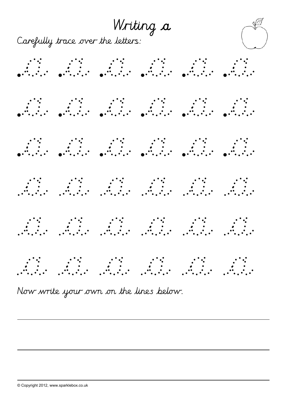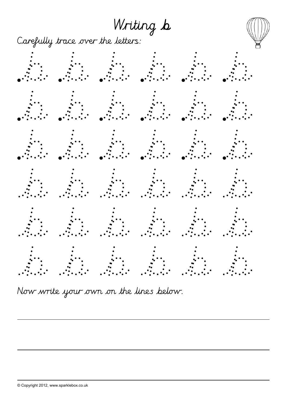Writing b



Carefully trace over the letters:

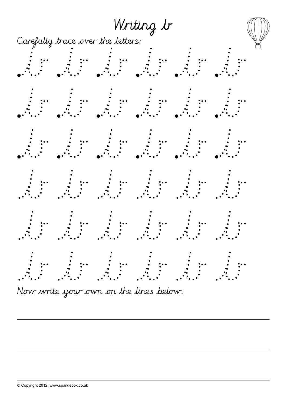

Now write your own on the lines below.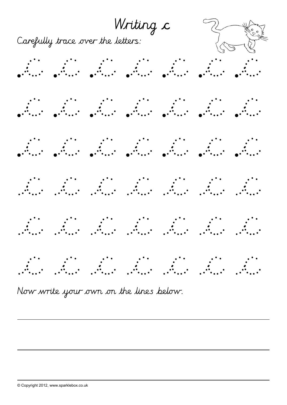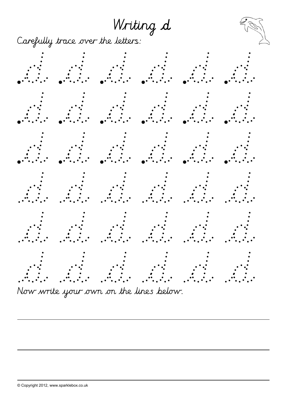Writing d

Carefully trace over the letters:

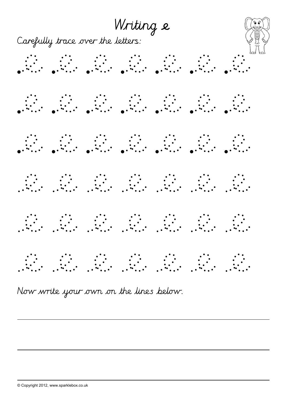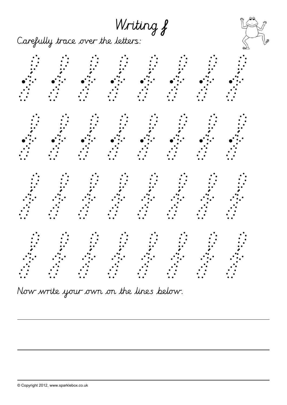Writing f

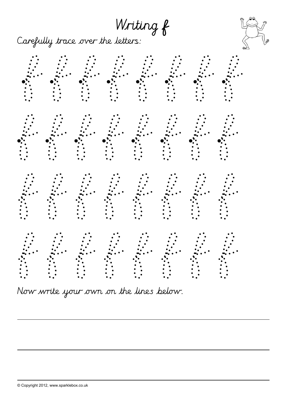Writing f

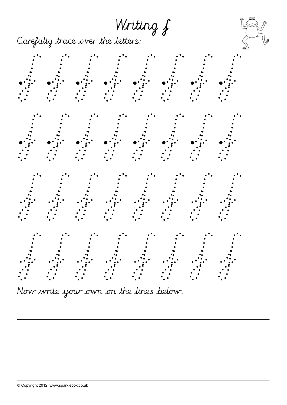Writing  $f$ 



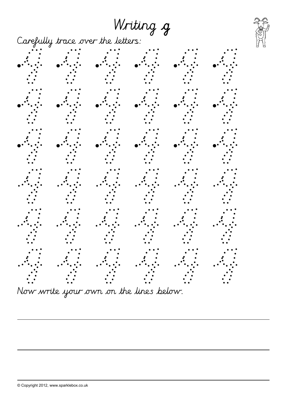## Writing g

Carefully trace over the letters:





Now write your own on the lines below.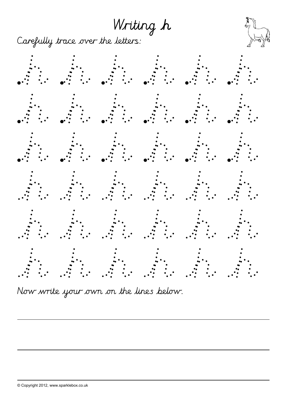Writing h

Carefully trace over the letters:

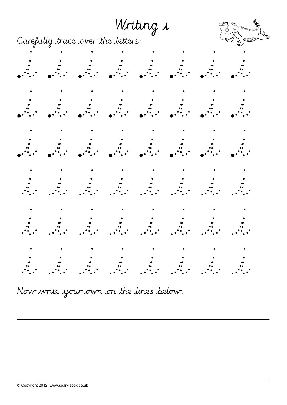Writing i

Carefully trace over the letters:





|  |  |  | $\bullet$ and $\bullet$ and $\bullet$ and $\bullet$ and $\bullet$ and $\bullet$ and $\bullet$ and $\bullet$ and $\bullet$ and $\bullet$ and $\bullet$ and $\bullet$ and $\bullet$ |  |
|--|--|--|-----------------------------------------------------------------------------------------------------------------------------------------------------------------------------------|--|
|  |  |  |                                                                                                                                                                                   |  |
|  |  |  |                                                                                                                                                                                   |  |
|  |  |  |                                                                                                                                                                                   |  |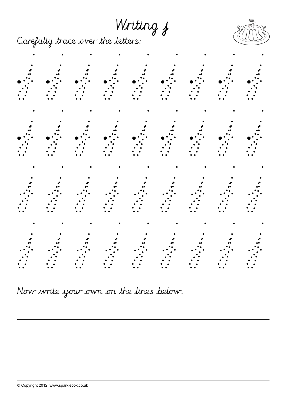Writing j

Carefully trace over the letters:



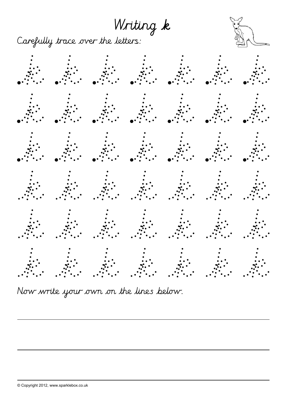Writing k

Carefully trace over the letters:

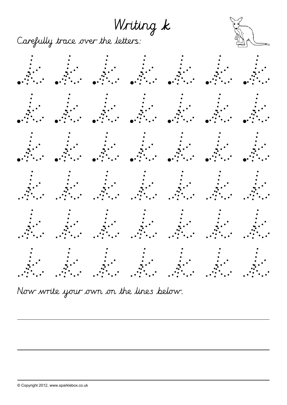Writing k

Carefully trace over the letters:

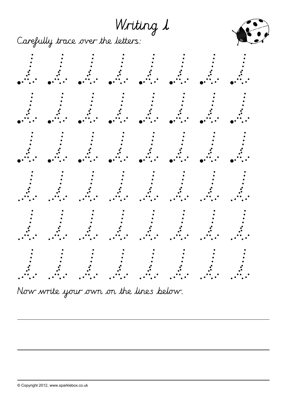Writing 1

Carefully trace over the letters:



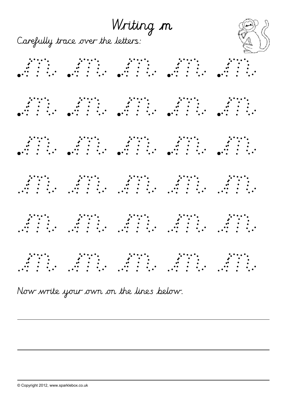Writing m



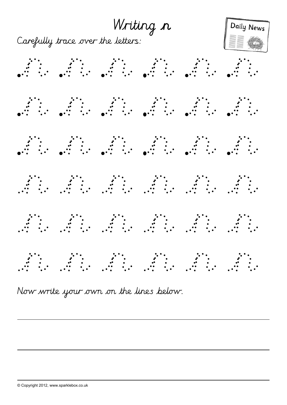Writing n



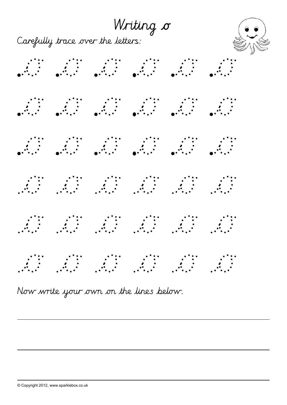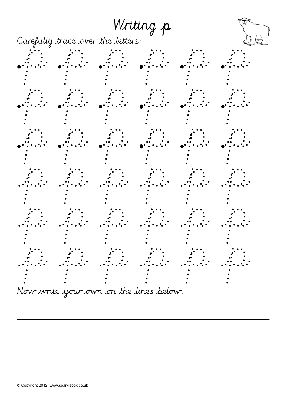





Now write your own on the lines below.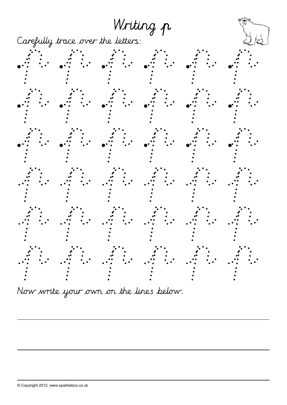

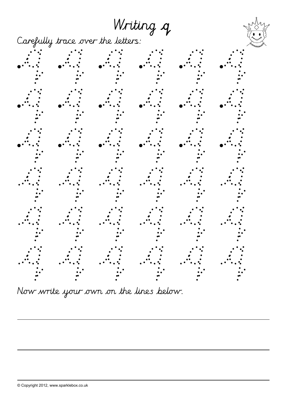## Writing q

Carefully trace over the letters:

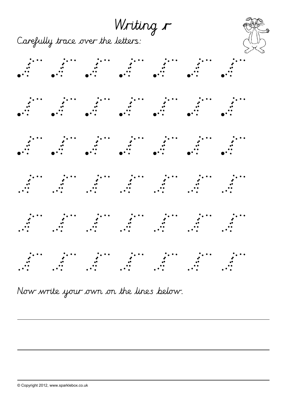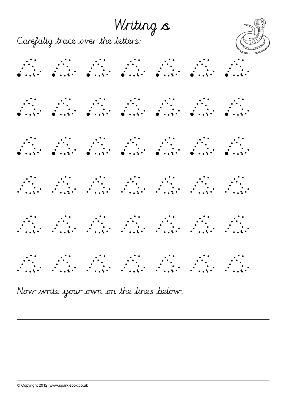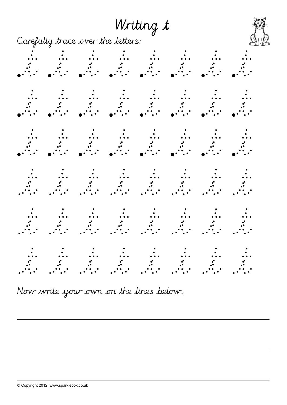## Writing t

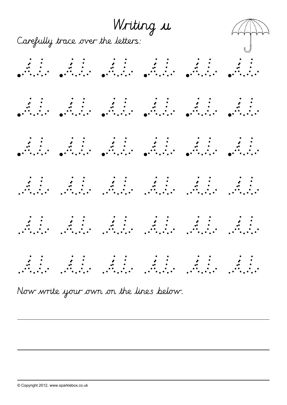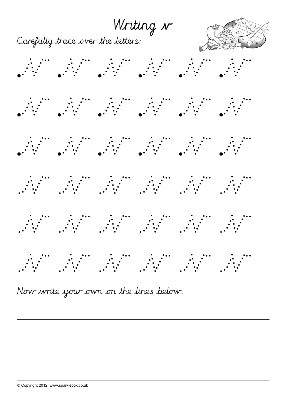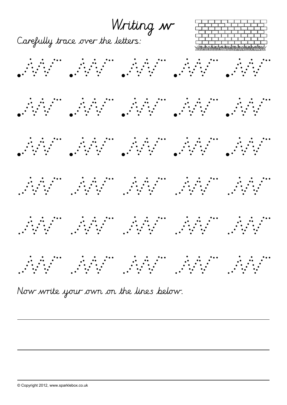

Now write your own on the lines below.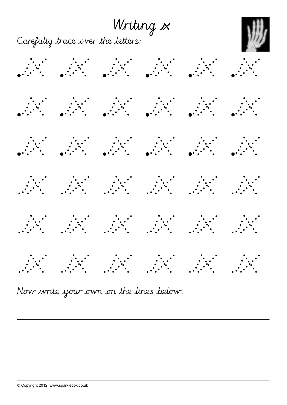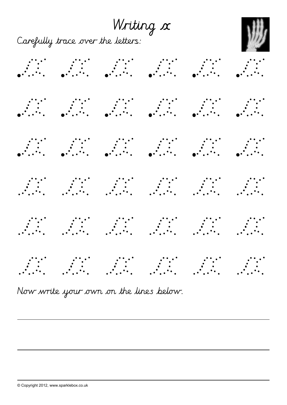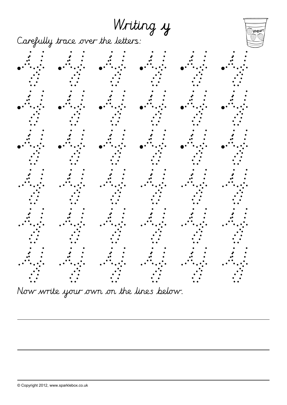Writing y

yogurt

Carefully trace over the letters:



Now write your own on the lines below.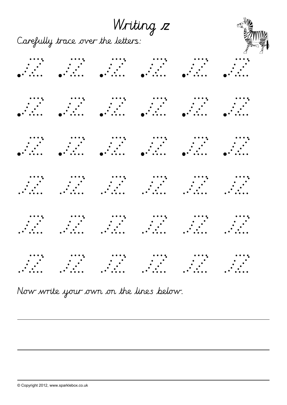Writing 12<br>Carefully trace over the letters: